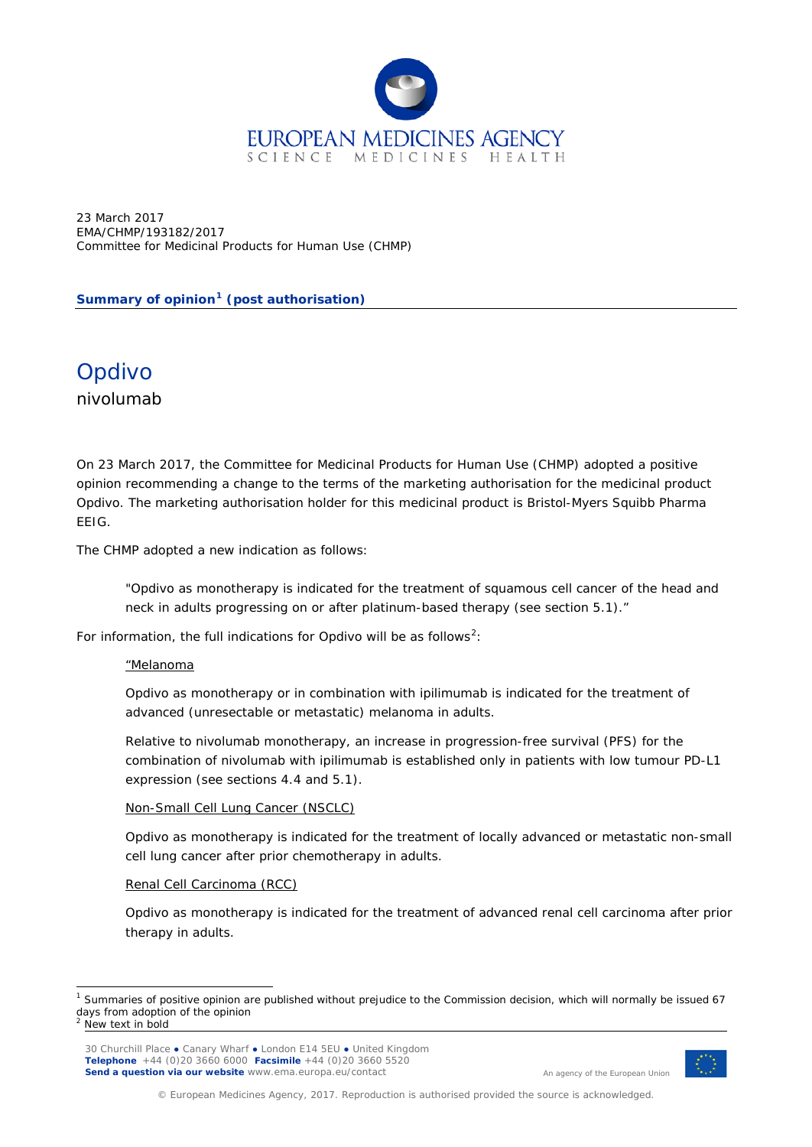

23 March 2017 EMA/CHMP/193182/2017 Committee for Medicinal Products for Human Use (CHMP)

**Summary of opinion[1](#page-0-0) (post authorisation)**

Opdivo nivolumab

On 23 March 2017, the Committee for Medicinal Products for Human Use (CHMP) adopted a positive opinion recommending a change to the terms of the marketing authorisation for the medicinal product Opdivo. The marketing authorisation holder for this medicinal product is Bristol-Myers Squibb Pharma EEIG.

The CHMP adopted a new indication as follows:

"Opdivo as monotherapy is indicated for the treatment of squamous cell cancer of the head and neck in adults progressing on or after platinum-based therapy (see section 5.1)."

For information, the full indications for Opdivo will be as follows<sup>[2](#page-0-1)</sup>:

#### "Melanoma

Opdivo as monotherapy or in combination with ipilimumab is indicated for the treatment of advanced (unresectable or metastatic) melanoma in adults.

Relative to nivolumab monotherapy, an increase in progression-free survival (PFS) for the combination of nivolumab with ipilimumab is established only in patients with low tumour PD-L1 expression (see sections 4.4 and 5.1).

### Non-Small Cell Lung Cancer (NSCLC)

Opdivo as monotherapy is indicated for the treatment of locally advanced or metastatic non-small cell lung cancer after prior chemotherapy in adults.

#### Renal Cell Carcinoma (RCC)

Opdivo as monotherapy is indicated for the treatment of advanced renal cell carcinoma after prior therapy in adults.



An agency of the European Union

© European Medicines Agency, 2017. Reproduction is authorised provided the source is acknowledged.

<span id="page-0-1"></span><span id="page-0-0"></span><sup>&</sup>lt;sup>1</sup> Summaries of positive opinion are published without prejudice to the Commission decision, which will normally be issued 67 days from adoption of the opinion New text in bold

<sup>30</sup> Churchill Place **●** Canary Wharf **●** London E14 5EU **●** United Kingdom **Telephone** +44 (0)20 3660 6000 **Facsimile** +44 (0)20 3660 5520 **Send a question via our website** www.ema.europa.eu/contact